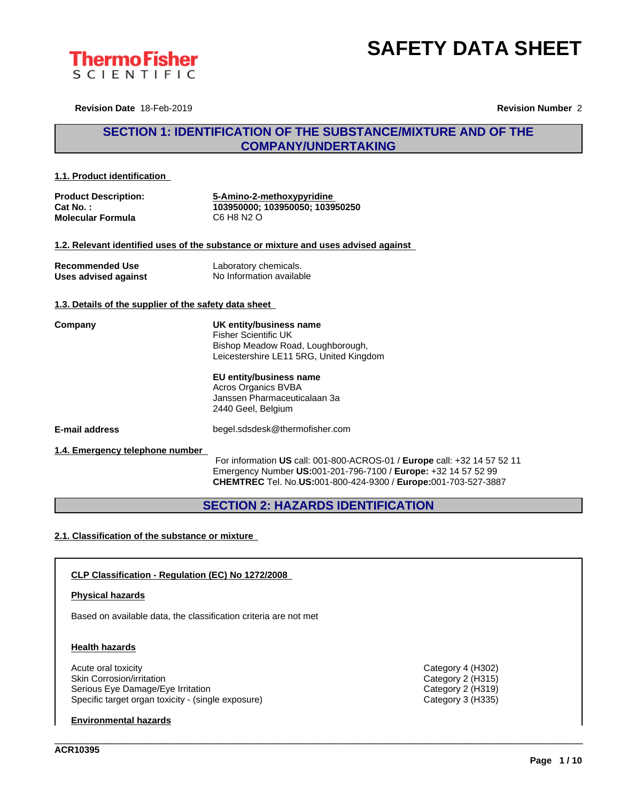



**Revision Date** 18-Feb-2019 **Revision Number** 2

## **SECTION 1: IDENTIFICATION OF THE SUBSTANCE/MIXTURE AND OF THE COMPANY/UNDERTAKING**

#### **1.1. Product identification**

| <b>Product Description:</b> | 5-Amino-2-methoxypyridine       |
|-----------------------------|---------------------------------|
| Cat No. :                   | 103950000: 103950050: 103950250 |
| <b>Molecular Formula</b>    | C6 H8 N2 O                      |

#### **1.2. Relevant identified uses of the substance or mixture and uses advised against**

| <b>Recommended Use</b> | Laboratory chemicals.    |
|------------------------|--------------------------|
| Uses advised against   | No Information available |

#### **1.3. Details of the supplier of the safety data sheet**

**Company UK entity/business name** Fisher Scientific UK Bishop Meadow Road, Loughborough, Leicestershire LE11 5RG, United Kingdom

#### **EU entity/business name**

Acros Organics BVBA Janssen Pharmaceuticalaan 3a 2440 Geel, Belgium

**E-mail address** begel.sdsdesk@thermofisher.com

#### **1.4. Emergency telephone number**

For information **US** call: 001-800-ACROS-01 / **Europe** call: +32 14 57 52 11 Emergency Number **US:**001-201-796-7100 / **Europe:** +32 14 57 52 99 **CHEMTREC** Tel. No.**US:**001-800-424-9300 / **Europe:**001-703-527-3887

\_\_\_\_\_\_\_\_\_\_\_\_\_\_\_\_\_\_\_\_\_\_\_\_\_\_\_\_\_\_\_\_\_\_\_\_\_\_\_\_\_\_\_\_\_\_\_\_\_\_\_\_\_\_\_\_\_\_\_\_\_\_\_\_\_\_\_\_\_\_\_\_\_\_\_\_\_\_\_\_\_\_\_\_\_\_\_\_\_\_\_\_\_\_

## **SECTION 2: HAZARDS IDENTIFICATION**

#### **2.1. Classification of the substance or mixture**

#### **CLP Classification - Regulation (EC) No 1272/2008**

#### **Physical hazards**

Based on available data, the classification criteria are not met

#### **Health hazards**

Acute oral toxicity Category 4 (H302) Skin Corrosion/irritation Category 2 (H315) Serious Eye Damage/Eye Irritation Category 2 (H319) Specific target organ toxicity - (single exposure) Category 3 (H335)

#### **Environmental hazards**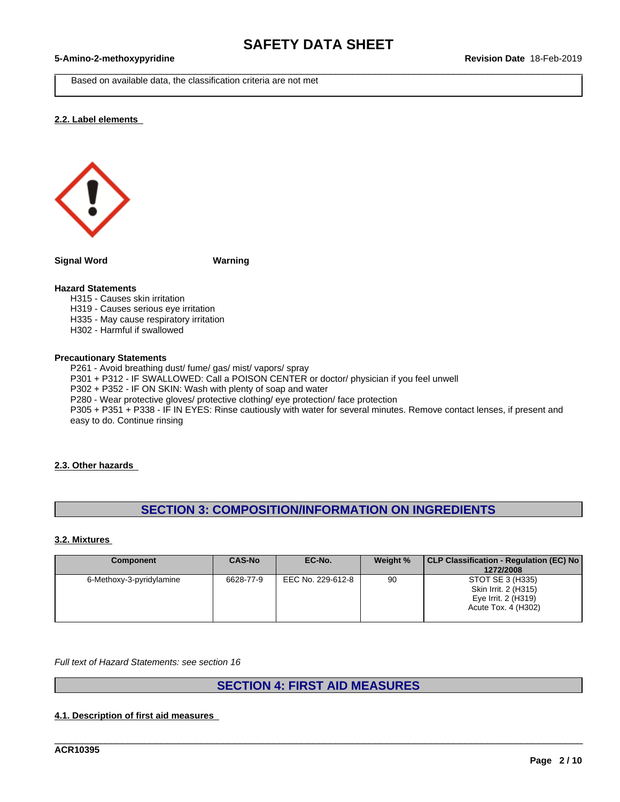Based on available data, the classification criteria are not met

#### **2.2. Label elements**



**Signal Word Warning**

#### **Hazard Statements**

H315 - Causes skin irritation

- H319 Causes serious eye irritation
- H335 May cause respiratory irritation
- H302 Harmful if swallowed

#### **Precautionary Statements**

P261 - Avoid breathing dust/ fume/ gas/ mist/ vapors/ spray P301 + P312 - IF SWALLOWED: Call a POISON CENTER or doctor/ physician if you feel unwell P302 + P352 - IF ON SKIN: Wash with plenty of soap and water P280 - Wear protective gloves/ protective clothing/ eye protection/ face protection P305 + P351 + P338 - IF IN EYES: Rinse cautiously with water for several minutes. Remove contact lenses, if present and easy to do. Continue rinsing

#### **2.3. Other hazards**

## **SECTION 3: COMPOSITION/INFORMATION ON INGREDIENTS**

#### **3.2. Mixtures**

| <b>Component</b>         | <b>CAS-No</b> | EC-No.            | Weight % | CLP Classification - Regulation (EC) No<br>1272/2008                                   |
|--------------------------|---------------|-------------------|----------|----------------------------------------------------------------------------------------|
| 6-Methoxy-3-pyridylamine | 6628-77-9     | EEC No. 229-612-8 | 90       | STOT SE 3 (H335)<br>Skin Irrit. 2 (H315)<br>Eye Irrit. 2 (H319)<br>Acute Tox. 4 (H302) |

*Full text of Hazard Statements: see section 16*

## **SECTION 4: FIRST AID MEASURES**

\_\_\_\_\_\_\_\_\_\_\_\_\_\_\_\_\_\_\_\_\_\_\_\_\_\_\_\_\_\_\_\_\_\_\_\_\_\_\_\_\_\_\_\_\_\_\_\_\_\_\_\_\_\_\_\_\_\_\_\_\_\_\_\_\_\_\_\_\_\_\_\_\_\_\_\_\_\_\_\_\_\_\_\_\_\_\_\_\_\_\_\_\_\_

#### **4.1. Description of first aid measures**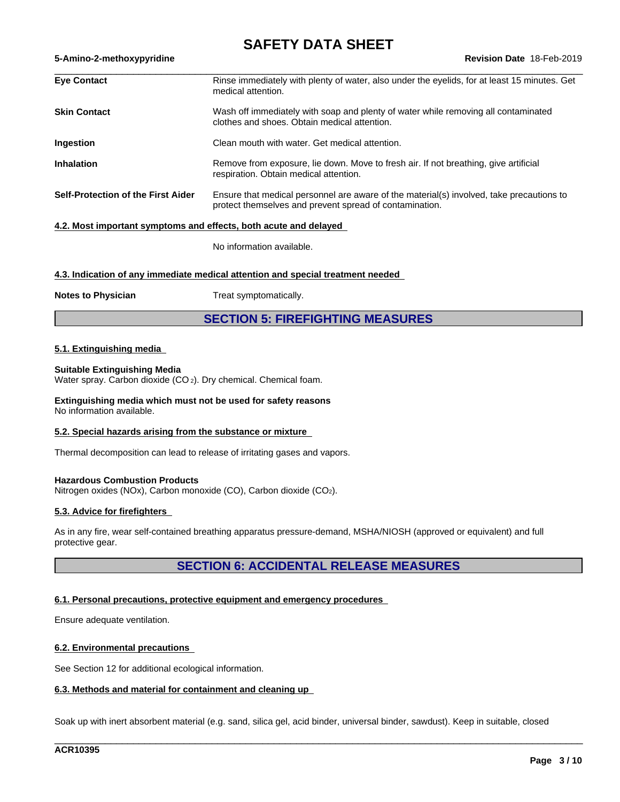## **SAFETY DATA SHEET**

| <b>Eve Contact</b>                                               | Rinse immediately with plenty of water, also under the eyelids, for at least 15 minutes. Get<br>medical attention.                                  |
|------------------------------------------------------------------|-----------------------------------------------------------------------------------------------------------------------------------------------------|
| <b>Skin Contact</b>                                              | Wash off immediately with soap and plenty of water while removing all contaminated<br>clothes and shoes. Obtain medical attention.                  |
| Ingestion                                                        | Clean mouth with water. Get medical attention.                                                                                                      |
| <b>Inhalation</b>                                                | Remove from exposure, lie down. Move to fresh air. If not breathing, give artificial<br>respiration. Obtain medical attention.                      |
| <b>Self-Protection of the First Aider</b>                        | Ensure that medical personnel are aware of the material(s) involved, take precautions to<br>protect themselves and prevent spread of contamination. |
| 4.2. Most important symptoms and effects, both acute and delayed |                                                                                                                                                     |

No information available.

#### **4.3. Indication of any immediate medical attention and special treatment needed**

**Notes to Physician** Treat symptomatically.

**SECTION 5: FIREFIGHTING MEASURES**

#### **5.1. Extinguishing media**

#### **Suitable Extinguishing Media**

Water spray. Carbon dioxide (CO<sub>2</sub>). Dry chemical. Chemical foam.

**Extinguishing media which must not be used for safety reasons** No information available.

#### **5.2. Special hazards arising from the substance or mixture**

Thermal decomposition can lead to release of irritating gases and vapors.

#### **Hazardous Combustion Products**

Nitrogen oxides (NOx), Carbon monoxide (CO), Carbon dioxide (CO2).

#### **5.3. Advice for firefighters**

As in any fire, wear self-contained breathing apparatus pressure-demand, MSHA/NIOSH (approved or equivalent) and full protective gear.

## **SECTION 6: ACCIDENTAL RELEASE MEASURES**

#### **6.1. Personal precautions, protective equipment and emergency procedures**

Ensure adequate ventilation.

#### **6.2. Environmental precautions**

See Section 12 for additional ecological information.

#### **6.3. Methods and material for containment and cleaning up**

Soak up with inert absorbent material (e.g. sand, silica gel, acid binder, universal binder, sawdust). Keep in suitable, closed

\_\_\_\_\_\_\_\_\_\_\_\_\_\_\_\_\_\_\_\_\_\_\_\_\_\_\_\_\_\_\_\_\_\_\_\_\_\_\_\_\_\_\_\_\_\_\_\_\_\_\_\_\_\_\_\_\_\_\_\_\_\_\_\_\_\_\_\_\_\_\_\_\_\_\_\_\_\_\_\_\_\_\_\_\_\_\_\_\_\_\_\_\_\_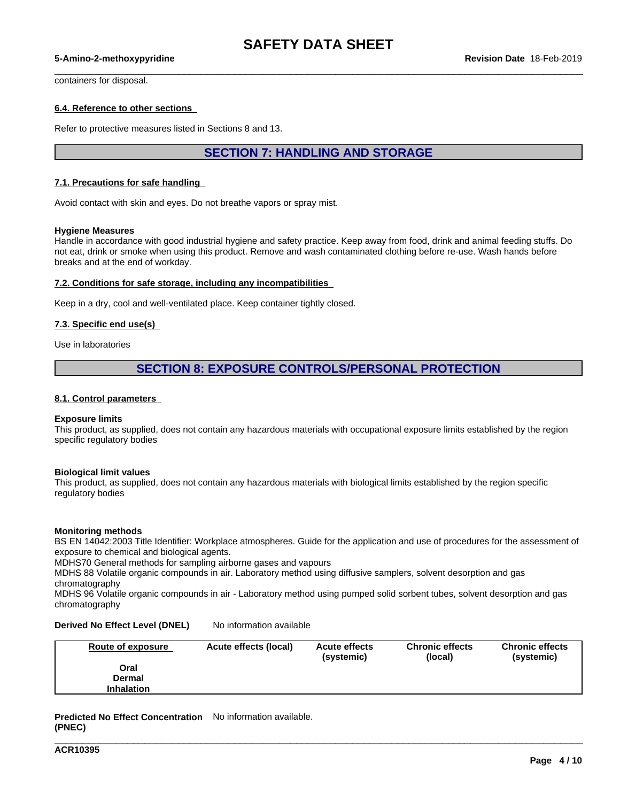## **SAFETY DATA SHEET**

 $\_$  ,  $\_$  ,  $\_$  ,  $\_$  ,  $\_$  ,  $\_$  ,  $\_$  ,  $\_$  ,  $\_$  ,  $\_$  ,  $\_$  ,  $\_$  ,  $\_$  ,  $\_$  ,  $\_$  ,  $\_$  ,  $\_$  ,  $\_$  ,  $\_$  ,  $\_$  ,  $\_$  ,  $\_$  ,  $\_$  ,  $\_$  ,  $\_$  ,  $\_$  ,  $\_$  ,  $\_$  ,  $\_$  ,  $\_$  ,  $\_$  ,  $\_$  ,  $\_$  ,  $\_$  ,  $\_$  ,  $\_$  ,  $\_$  ,

#### **5-Amino-2-methoxypyridine Revision Date** 18-Feb-2019

containers for disposal.

#### **6.4. Reference to other sections**

Refer to protective measures listed in Sections 8 and 13.

## **SECTION 7: HANDLING AND STORAGE**

#### **7.1. Precautions for safe handling**

Avoid contact with skin and eyes. Do not breathe vapors or spray mist.

#### **Hygiene Measures**

Handle in accordance with good industrial hygiene and safety practice. Keep away from food, drink and animal feeding stuffs. Do not eat, drink or smoke when using this product. Remove and wash contaminated clothing before re-use. Wash hands before breaks and at the end of workday.

#### **7.2. Conditions for safe storage, including any incompatibilities**

Keep in a dry, cool and well-ventilated place. Keep container tightly closed.

#### **7.3. Specific end use(s)**

Use in laboratories

## **SECTION 8: EXPOSURE CONTROLS/PERSONAL PROTECTION**

#### **8.1. Control parameters**

#### **Exposure limits**

This product, as supplied, does not contain any hazardous materials with occupational exposure limits established by the region specific regulatory bodies

#### **Biological limit values**

This product, as supplied, does not contain any hazardous materials with biological limits established by the region specific regulatory bodies

#### **Monitoring methods**

BS EN 14042:2003 Title Identifier: Workplace atmospheres. Guide for the application and use of procedures for the assessment of exposure to chemical and biological agents.

MDHS70 General methods for sampling airborne gases and vapours

MDHS 88 Volatile organic compounds in air. Laboratory method using diffusive samplers, solvent desorption and gas chromatography

MDHS 96 Volatile organic compounds in air - Laboratory method using pumped solid sorbent tubes, solvent desorption and gas chromatography

#### **Derived No Effect Level (DNEL)** No information available

| Route of exposure | Acute effects (local) | <b>Acute effects</b><br>(systemic) | <b>Chronic effects</b><br>(local) | <b>Chronic effects</b><br>(systemic) |
|-------------------|-----------------------|------------------------------------|-----------------------------------|--------------------------------------|
| Oral              |                       |                                    |                                   |                                      |
| Dermal            |                       |                                    |                                   |                                      |
| <b>Inhalation</b> |                       |                                    |                                   |                                      |

\_\_\_\_\_\_\_\_\_\_\_\_\_\_\_\_\_\_\_\_\_\_\_\_\_\_\_\_\_\_\_\_\_\_\_\_\_\_\_\_\_\_\_\_\_\_\_\_\_\_\_\_\_\_\_\_\_\_\_\_\_\_\_\_\_\_\_\_\_\_\_\_\_\_\_\_\_\_\_\_\_\_\_\_\_\_\_\_\_\_\_\_\_\_

**Predicted No Effect Concentration** No information available. **(PNEC)**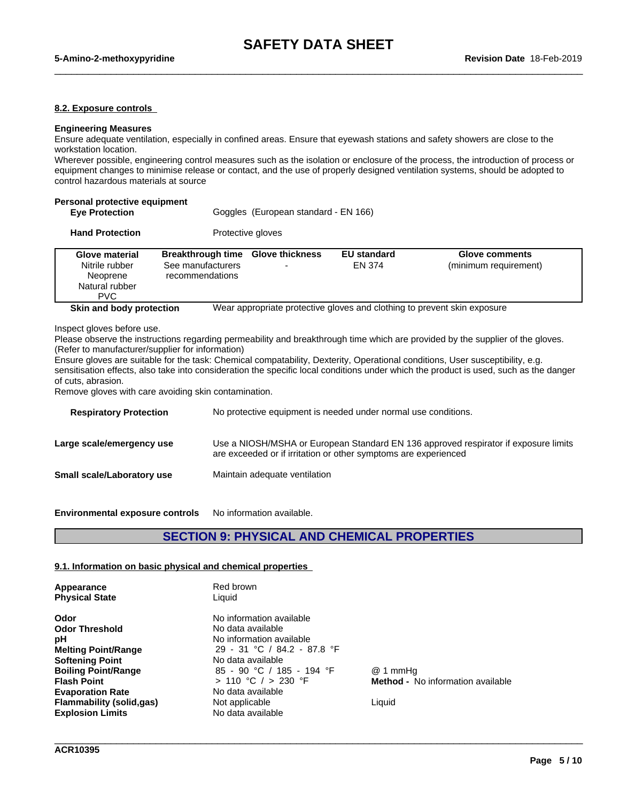#### **8.2. Exposure controls**

#### **Engineering Measures**

Ensure adequate ventilation, especially in confined areas. Ensure that eyewash stations and safety showers are close to the workstation location.

Wherever possible, engineering control measures such as the isolation or enclosure of the process, the introduction of process or equipment changes to minimise release or contact, and the use of properly designed ventilation systems, should be adopted to control hazardous materials at source

| Personal protective equipment<br><b>Eye Protection</b>                       |                                                                  | Goggles (European standard - EN 166) |                              |                                                                          |
|------------------------------------------------------------------------------|------------------------------------------------------------------|--------------------------------------|------------------------------|--------------------------------------------------------------------------|
| <b>Hand Protection</b>                                                       |                                                                  | Protective gloves                    |                              |                                                                          |
| Glove material<br>Nitrile rubber<br>Neoprene<br>Natural rubber<br><b>PVC</b> | <b>Breakthrough time</b><br>See manufacturers<br>recommendations | <b>Glove thickness</b>               | <b>EU</b> standard<br>FN 374 | <b>Glove comments</b><br>(minimum requirement)                           |
| Skin and body protection<br>Inspect gloves before use.                       |                                                                  |                                      |                              | Wear appropriate protective gloves and clothing to prevent skin exposure |

Please observe the instructions regarding permeability and breakthrough time which are provided by the supplier of the gloves. (Refer to manufacturer/supplier for information)

Ensure gloves are suitable for the task: Chemical compatability, Dexterity, Operational conditions, User susceptibility, e.g. sensitisation effects, also take into consideration the specific local conditions under which the product is used, such as the danger of cuts, abrasion.

Remove gloves with care avoiding skin contamination.

| <b>Respiratory Protection</b>     | No protective equipment is needed under normal use conditions.                                                                                         |
|-----------------------------------|--------------------------------------------------------------------------------------------------------------------------------------------------------|
| Large scale/emergency use         | Use a NIOSH/MSHA or European Standard EN 136 approved respirator if exposure limits<br>are exceeded or if irritation or other symptoms are experienced |
| <b>Small scale/Laboratory use</b> | Maintain adequate ventilation                                                                                                                          |
|                                   |                                                                                                                                                        |

**Environmental exposure controls** No information available.

## **SECTION 9: PHYSICAL AND CHEMICAL PROPERTIES**

\_\_\_\_\_\_\_\_\_\_\_\_\_\_\_\_\_\_\_\_\_\_\_\_\_\_\_\_\_\_\_\_\_\_\_\_\_\_\_\_\_\_\_\_\_\_\_\_\_\_\_\_\_\_\_\_\_\_\_\_\_\_\_\_\_\_\_\_\_\_\_\_\_\_\_\_\_\_\_\_\_\_\_\_\_\_\_\_\_\_\_\_\_\_

#### **9.1. Information on basic physical and chemical properties**

| Appearance<br><b>Physical State</b> | Red brown<br>Liquid         |                                          |
|-------------------------------------|-----------------------------|------------------------------------------|
| Odor                                | No information available    |                                          |
| <b>Odor Threshold</b>               | No data available           |                                          |
| рH                                  | No information available    |                                          |
| <b>Melting Point/Range</b>          | 29 - 31 °C / 84.2 - 87.8 °F |                                          |
| <b>Softening Point</b>              | No data available           |                                          |
| <b>Boiling Point/Range</b>          | 85 - 90 °C / 185 - 194 °F   | @ 1 mmHa                                 |
| <b>Flash Point</b>                  | > 110 °C / > 230 °F         | <b>Method -</b> No information available |
| <b>Evaporation Rate</b>             | No data available           |                                          |
| <b>Flammability (solid,gas)</b>     | Not applicable              | Liquid                                   |
| <b>Explosion Limits</b>             | No data available           |                                          |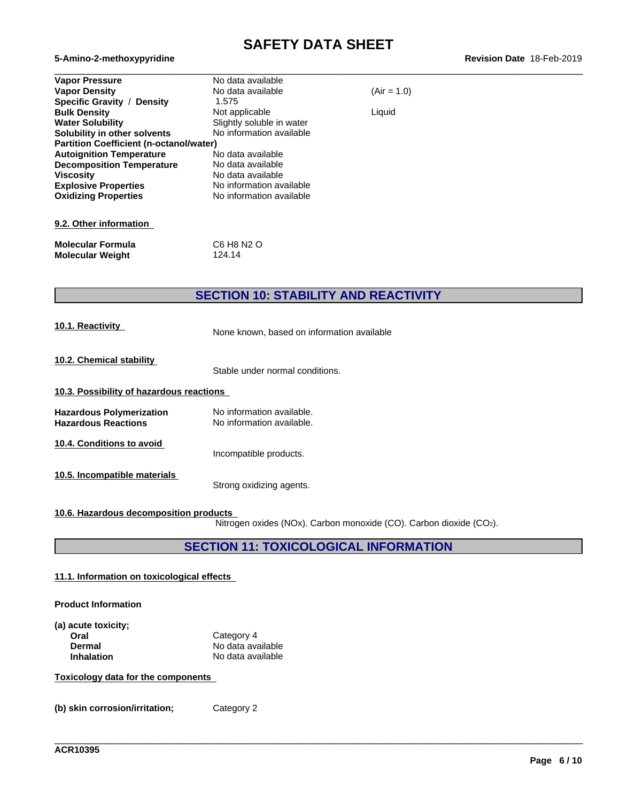# **SAFETY DATA SHEET**<br>Revision Date 18-Feb-2019

| <b>Vapor Pressure</b>                          | No data available         |               |  |
|------------------------------------------------|---------------------------|---------------|--|
| <b>Vapor Density</b>                           | No data available         | $(Air = 1.0)$ |  |
| Specific Gravity /<br>Density                  | 1.575                     |               |  |
| <b>Bulk Density</b>                            | Not applicable            | Liquid        |  |
| <b>Water Solubility</b>                        | Slightly soluble in water |               |  |
| Solubility in other solvents                   | No information available  |               |  |
| <b>Partition Coefficient (n-octanol/water)</b> |                           |               |  |
| <b>Autoignition Temperature</b>                | No data available         |               |  |
| <b>Decomposition Temperature</b>               | No data available         |               |  |
| <b>Viscosity</b>                               | No data available         |               |  |
| <b>Explosive Properties</b>                    | No information available  |               |  |
| <b>Oxidizing Properties</b>                    | No information available  |               |  |
|                                                |                           |               |  |
|                                                |                           |               |  |
| 9.2. Other information                         |                           |               |  |
|                                                |                           |               |  |

# **Molecular Formula** C6 H8 N2 O<br> **Molecular Weight** 124.14 **Molecular Weight**

 $5-Amino-2-methoxypyridine$ 

## **SECTION 10: STABILITY AND REACTIVITY**

| 10.1. Reactivity                                       | None known, based on information available             |  |
|--------------------------------------------------------|--------------------------------------------------------|--|
| 10.2. Chemical stability                               | Stable under normal conditions.                        |  |
| 10.3. Possibility of hazardous reactions               |                                                        |  |
| Hazardous Polymerization<br><b>Hazardous Reactions</b> | No information available.<br>No information available. |  |
| 10.4. Conditions to avoid                              | Incompatible products.                                 |  |
| 10.5. Incompatible materials                           | Strong oxidizing agents.                               |  |

#### **10.6. Hazardous decomposition products**

Nitrogen oxides (NOx). Carbon monoxide (CO). Carbon dioxide (CO2).

\_\_\_\_\_\_\_\_\_\_\_\_\_\_\_\_\_\_\_\_\_\_\_\_\_\_\_\_\_\_\_\_\_\_\_\_\_\_\_\_\_\_\_\_\_\_\_\_\_\_\_\_\_\_\_\_\_\_\_\_\_\_\_\_\_\_\_\_\_\_\_\_\_\_\_\_\_\_\_\_\_\_\_\_\_\_\_\_\_\_\_\_\_\_

## **SECTION 11: TOXICOLOGICAL INFORMATION**

#### **11.1. Information on toxicologicaleffects**

#### **Product Information**

| (a) acute toxicity; |                   |  |
|---------------------|-------------------|--|
| Oral                | Category 4        |  |
| Dermal              | No data available |  |
| <b>Inhalation</b>   | No data available |  |

#### **Toxicology data for the components**

**(b) skin corrosion/irritation;** Category 2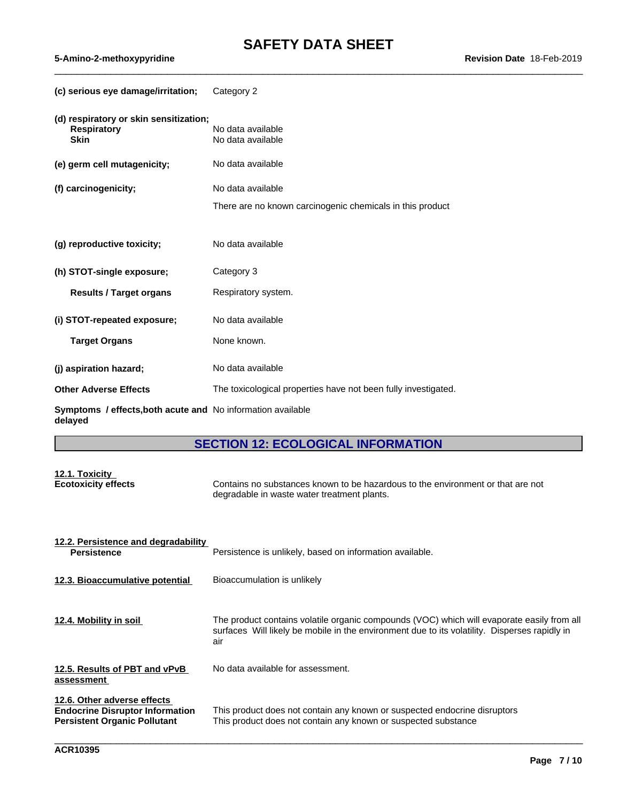| (c) serious eye damage/irritation;                                          | Category 2                                                     |
|-----------------------------------------------------------------------------|----------------------------------------------------------------|
| (d) respiratory or skin sensitization;<br><b>Respiratory</b><br><b>Skin</b> | No data available<br>No data available                         |
| (e) germ cell mutagenicity;                                                 | No data available                                              |
| (f) carcinogenicity;                                                        | No data available                                              |
|                                                                             | There are no known carcinogenic chemicals in this product      |
|                                                                             |                                                                |
| (g) reproductive toxicity;                                                  | No data available                                              |
| (h) STOT-single exposure;                                                   | Category 3                                                     |
| <b>Results / Target organs</b>                                              | Respiratory system.                                            |
| (i) STOT-repeated exposure;                                                 | No data available                                              |
| <b>Target Organs</b>                                                        | None known.                                                    |
| (j) aspiration hazard;                                                      | No data available                                              |
| <b>Other Adverse Effects</b>                                                | The toxicological properties have not been fully investigated. |
| Symptoms / effects, both acute and No information available<br>delayed      |                                                                |

## **SECTION 12: ECOLOGICAL INFORMATION**

## **12.1. Toxicity Ecotoxicity effects** Contains no substances known to be hazardous to the environment or that are not degradable in waste water treatment plants.

| 12.2. Persistence and degradability<br><b>Persistence</b>                                                    | Persistence is unlikely, based on information available.                                                                                                                                           |
|--------------------------------------------------------------------------------------------------------------|----------------------------------------------------------------------------------------------------------------------------------------------------------------------------------------------------|
| 12.3. Bioaccumulative potential                                                                              | Bioaccumulation is unlikely                                                                                                                                                                        |
| 12.4. Mobility in soil                                                                                       | The product contains volatile organic compounds (VOC) which will evaporate easily from all<br>surfaces Will likely be mobile in the environment due to its volatility. Disperses rapidly in<br>air |
| 12.5. Results of PBT and vPvB<br>assessment                                                                  | No data available for assessment.                                                                                                                                                                  |
| 12.6. Other adverse effects<br><b>Endocrine Disruptor Information</b><br><b>Persistent Organic Pollutant</b> | This product does not contain any known or suspected endocrine disruptors<br>This product does not contain any known or suspected substance                                                        |

\_\_\_\_\_\_\_\_\_\_\_\_\_\_\_\_\_\_\_\_\_\_\_\_\_\_\_\_\_\_\_\_\_\_\_\_\_\_\_\_\_\_\_\_\_\_\_\_\_\_\_\_\_\_\_\_\_\_\_\_\_\_\_\_\_\_\_\_\_\_\_\_\_\_\_\_\_\_\_\_\_\_\_\_\_\_\_\_\_\_\_\_\_\_

 $5-Amino-2-methoxypyridine$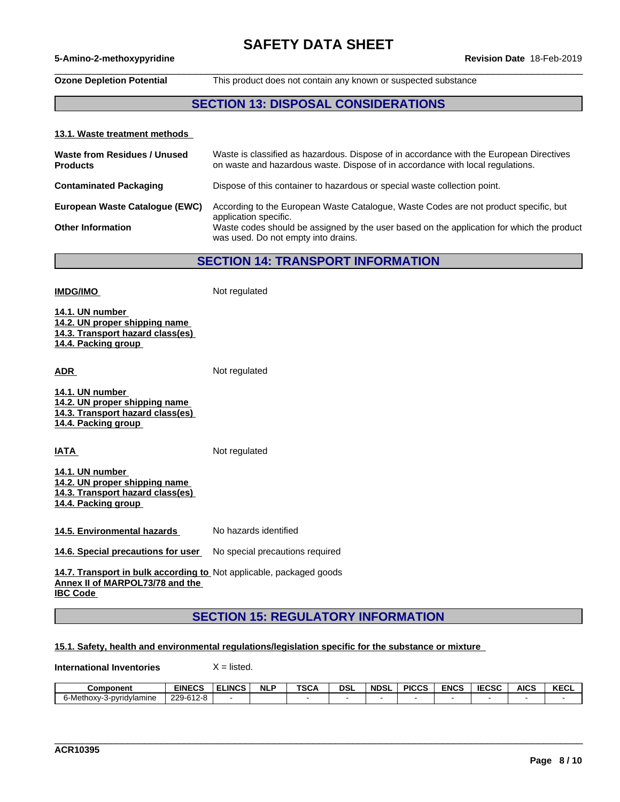## **SAFETY DATA SHEET**

#### **5-Amino-2-methoxypyridine Revision Date** 18-Feb-2019

## $\_$  ,  $\_$  ,  $\_$  ,  $\_$  ,  $\_$  ,  $\_$  ,  $\_$  ,  $\_$  ,  $\_$  ,  $\_$  ,  $\_$  ,  $\_$  ,  $\_$  ,  $\_$  ,  $\_$  ,  $\_$  ,  $\_$  ,  $\_$  ,  $\_$  ,  $\_$  ,  $\_$  ,  $\_$  ,  $\_$  ,  $\_$  ,  $\_$  ,  $\_$  ,  $\_$  ,  $\_$  ,  $\_$  ,  $\_$  ,  $\_$  ,  $\_$  ,  $\_$  ,  $\_$  ,  $\_$  ,  $\_$  ,  $\_$  ,

**Ozone Depletion Potential** This product does not contain any known or suspected substance

## **SECTION 13: DISPOSAL CONSIDERATIONS**

#### **13.1. Waste treatment methods**

| Waste from Residues / Unused<br><b>Products</b> | Waste is classified as hazardous. Dispose of in accordance with the European Directives<br>on waste and hazardous waste. Dispose of in accordance with local regulations. |
|-------------------------------------------------|---------------------------------------------------------------------------------------------------------------------------------------------------------------------------|
| <b>Contaminated Packaging</b>                   | Dispose of this container to hazardous or special waste collection point.                                                                                                 |
| European Waste Catalogue (EWC)                  | According to the European Waste Catalogue, Waste Codes are not product specific, but<br>application specific.                                                             |
| <b>Other Information</b>                        | Waste codes should be assigned by the user based on the application for which the product<br>was used. Do not empty into drains.                                          |

**SECTION 14: TRANSPORT INFORMATION**

| <b>IMDG/IMO</b>                                                                                                           | Not regulated                   |  |  |  |  |
|---------------------------------------------------------------------------------------------------------------------------|---------------------------------|--|--|--|--|
| 14.1. UN number<br>14.2. UN proper shipping name<br>14.3. Transport hazard class(es)<br>14.4. Packing group               |                                 |  |  |  |  |
| <b>ADR</b>                                                                                                                | Not regulated                   |  |  |  |  |
| 14.1. UN number<br>14.2. UN proper shipping name<br>14.3. Transport hazard class(es)<br>14.4. Packing group               |                                 |  |  |  |  |
| <b>IATA</b>                                                                                                               | Not regulated                   |  |  |  |  |
| 14.1. UN number<br>14.2. UN proper shipping name<br>14.3. Transport hazard class(es)<br>14.4. Packing group               |                                 |  |  |  |  |
| 14.5. Environmental hazards                                                                                               | No hazards identified           |  |  |  |  |
| 14.6. Special precautions for user                                                                                        | No special precautions required |  |  |  |  |
| 14.7. Transport in bulk according to Not applicable, packaged goods<br>Annex II of MARPOL73/78 and the<br><b>IBC Code</b> |                                 |  |  |  |  |
| <b>SECTION 15: REGULATORY INFORMATION</b>                                                                                 |                                 |  |  |  |  |

#### **15.1. Safety, health and environmental regulations/legislation specific for the substance or mixture**

**International Inventories** X = listed.

| Component                     | <b>EINECS</b>                                | <b>LINCS</b> | <b>NLF</b> | TOO.<br>5GA | dsl | <b>NDSI</b> | <b>PICCS</b> | <b>ENCS</b> | 5000<br>こしコし | <b>AICS</b> | <b>KECL</b> |
|-------------------------------|----------------------------------------------|--------------|------------|-------------|-----|-------------|--------------|-------------|--------------|-------------|-------------|
| 6-Methox∨∹<br>-3-pvridvlamine | 220.612.8<br>.<br>$\sim$<br><b>UILU</b><br>້ |              |            |             |     |             |              |             |              |             |             |

\_\_\_\_\_\_\_\_\_\_\_\_\_\_\_\_\_\_\_\_\_\_\_\_\_\_\_\_\_\_\_\_\_\_\_\_\_\_\_\_\_\_\_\_\_\_\_\_\_\_\_\_\_\_\_\_\_\_\_\_\_\_\_\_\_\_\_\_\_\_\_\_\_\_\_\_\_\_\_\_\_\_\_\_\_\_\_\_\_\_\_\_\_\_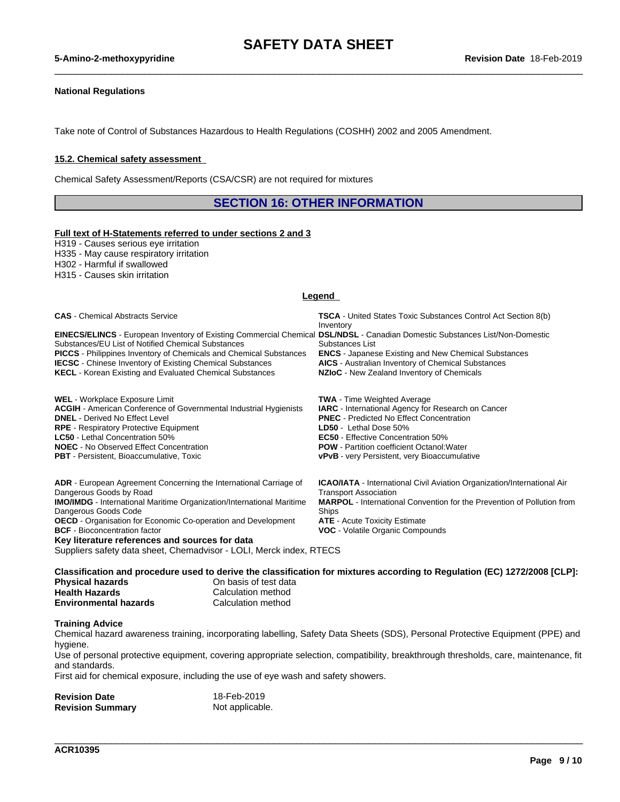#### **National Regulations**

Take note of Control of Substances Hazardous to Health Regulations (COSHH) 2002 and 2005 Amendment.

#### **15.2. Chemical safety assessment**

Chemical Safety Assessment/Reports (CSA/CSR) are not required for mixtures

**SECTION 16: OTHER INFORMATION**

#### **Full text of H-Statements referred to undersections 2 and 3**

H319 - Causes serious eye irritation H335 - May cause respiratory irritation H302 - Harmful if swallowed

H315 - Causes skin irritation

#### **Legend**

| <b>CAS</b> - Chemical Abstracts Service                                                                      | <b>TSCA</b> - United States Toxic Substances Control Act Section 8(b)<br>Inventory |
|--------------------------------------------------------------------------------------------------------------|------------------------------------------------------------------------------------|
| <b>EINECS/ELINCS</b> - European Inventory of Existing Commercial Chemical                                    | <b>DSL/NDSL</b> - Canadian Domestic Substances List/Non-Domestic                   |
| Substances/EU List of Notified Chemical Substances                                                           | Substances List                                                                    |
| <b>PICCS</b> - Philippines Inventory of Chemicals and Chemical Substances                                    | <b>ENCS</b> - Japanese Existing and New Chemical Substances                        |
| <b>IECSC</b> - Chinese Inventory of Existing Chemical Substances                                             | <b>AICS</b> - Australian Inventory of Chemical Substances                          |
| <b>KECL</b> - Korean Existing and Evaluated Chemical Substances                                              | NZIoC - New Zealand Inventory of Chemicals                                         |
|                                                                                                              |                                                                                    |
| <b>WEL</b> - Workplace Exposure Limit                                                                        | <b>TWA</b> - Time Weighted Average                                                 |
| <b>ACGIH</b> - American Conference of Governmental Industrial Hygienists                                     | IARC - International Agency for Research on Cancer                                 |
| <b>DNEL</b> - Derived No Effect Level                                                                        | <b>PNEC</b> - Predicted No Effect Concentration                                    |
| <b>RPE</b> - Respiratory Protective Equipment                                                                | LD50 - Lethal Dose 50%                                                             |
| <b>LC50</b> - Lethal Concentration 50%                                                                       | <b>EC50</b> - Effective Concentration 50%                                          |
| <b>NOEC</b> - No Observed Effect Concentration                                                               | <b>POW</b> - Partition coefficient Octanol: Water                                  |
| <b>PBT</b> - Persistent, Bioaccumulative, Toxic                                                              | <b>vPvB</b> - very Persistent, very Bioaccumulative                                |
|                                                                                                              |                                                                                    |
| <b>ADR</b> - European Agreement Concerning the International Carriage of                                     | <b>ICAO/IATA</b> - International Civil Aviation Organization/International Air     |
| Dangerous Goods by Road                                                                                      | <b>Transport Association</b>                                                       |
| <b>IMO/IMDG</b> - International Maritime Organization/International Maritime                                 | <b>MARPOL</b> - International Convention for the Prevention of Pollution from      |
| Dangerous Goods Code                                                                                         | Ships                                                                              |
| <b>OECD</b> - Organisation for Economic Co-operation and Development<br><b>BCF</b> - Bioconcentration factor | <b>ATE</b> - Acute Toxicity Estimate<br><b>VOC</b> - Volatile Organic Compounds    |
| Key literature references and sources for data                                                               |                                                                                    |
|                                                                                                              |                                                                                    |

Suppliers safety data sheet, Chemadvisor - LOLI, Merck index, RTECS

Classification and procedure used to derive the classification for mixtures according to Regulation (EC) 1272/2008 [CLP]:<br>Physical hazards on basis of test data **Physical hazards Health Hazards**<br> **Environmental hazards**<br> **Calculation method Environmental hazards** 

#### **Training Advice**

Chemical hazard awareness training, incorporating labelling, Safety Data Sheets (SDS), Personal Protective Equipment (PPE) and hygiene.

Use of personal protective equipment, covering appropriate selection, compatibility, breakthrough thresholds, care, maintenance, fit and standards.

\_\_\_\_\_\_\_\_\_\_\_\_\_\_\_\_\_\_\_\_\_\_\_\_\_\_\_\_\_\_\_\_\_\_\_\_\_\_\_\_\_\_\_\_\_\_\_\_\_\_\_\_\_\_\_\_\_\_\_\_\_\_\_\_\_\_\_\_\_\_\_\_\_\_\_\_\_\_\_\_\_\_\_\_\_\_\_\_\_\_\_\_\_\_

First aid for chemical exposure, including the use of eye wash and safety showers.

| <b>Revision Date</b>    | 18-Feb-2019     |
|-------------------------|-----------------|
| <b>Revision Summary</b> | Not applicable. |